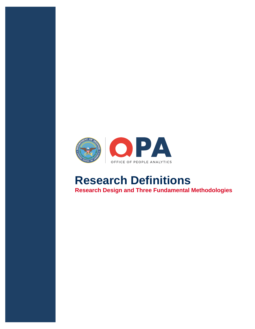

# **Research Definitions Research Design and Three Fundamental Methodologies**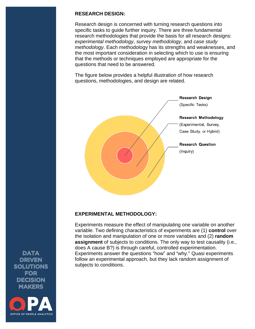#### **RESEARCH DESIGN:**

Research design is concerned with turning research questions into specific tasks to guide further inquiry. There are three fundamental research methodologies that provide the basis for all research designs: *experimental methodology*, *survey methodology*, and *case study methodology*. Each methodology has its strengths and weaknesses, and the most important consideration in selecting which to use is ensuring that the methods or techniques employed are appropriate for the questions that need to be answered.

The figure below provides a helpful illustration of how research questions, methodologies, and design are related.



### **EXPERIMENTAL METHODOLOGY:**

Experiments measure the effect of manipulating one variable on another variable. Two defining characteristics of experiments are (1) **control** over the isolation and manipulation of one or more variables and (2) **random assignment** of subjects to conditions. The only way to test causality (i.e., does A cause B?) is through careful, controlled experimentation. Experiments answer the questions "how" and "why." Quasi experiments follow an experimental approach, but they lack random assignment of subjects to conditions.

**DATA DRIVEN SOLUTIONS FOR DECISION MAKERS** 

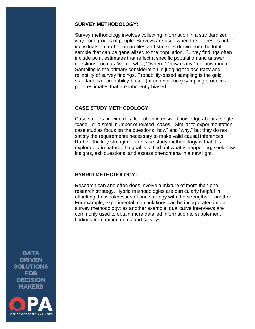#### **SURVEY METHODOLOGY:**

Survey methodology involves collecting information in a standardized way from groups of people. Surveys are used when the interest is not in individuals but rather on profiles and statistics drawn from the total sample that can be generalized to the population. Survey findings often include point estimates that reflect a specific population and answer questions such as "who," "what," "where," "how many," or "how much." Sampling is the primary consideration in judging the accuracy and reliability of survey findings. Probability-based sampling is the gold standard. Nonprobability-based (or convenience) sampling produces point estimates that are inherently biased.

## **CASE STUDY METHODOLOGY:**

Case studies provide detailed, often intensive knowledge about a single "case," or a small number of related "cases." Similar to experimentation, case studies focus on the questions "how" and "why," but they do not satisfy the requirements necessary to make valid causal inferences. Rather, the key strength of the case study methodology is that it is exploratory in nature; the goal is to find out what is happening, seek new insights, ask questions, and assess phenomena in a new light.

# **HYBRID METHODOLOGY:**

Research can and often does involve a mixture of more than one research strategy. Hybrid methodologies are particularly helpful in offsetting the weaknesses of one strategy with the strengths of another. For example, experimental manipulations can be incorporated into a survey methodology; as another example, qualitative interviews are commonly used to obtain more detailed information to supplement findings from experiments and surveys.

**DATA DRIVEN SOLUTIONS FOR DECISION MAKERS**